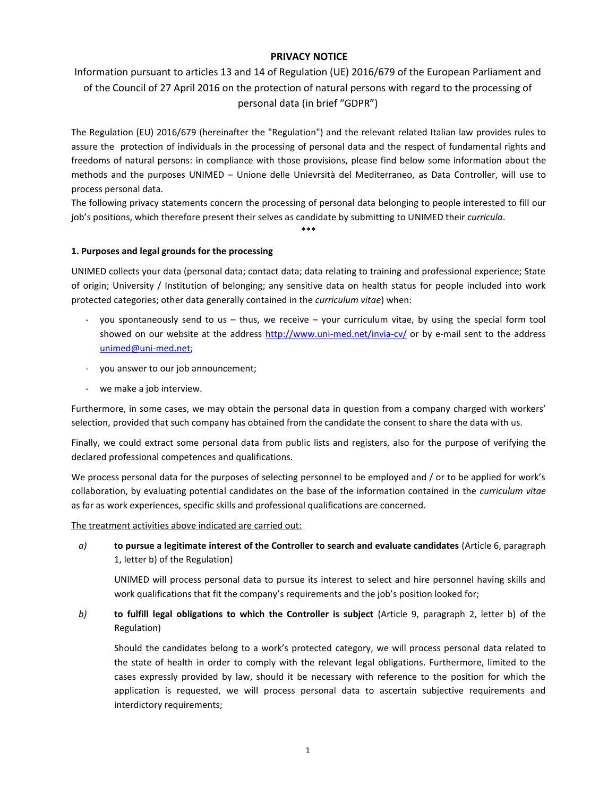## **PRIVACY NOTICE**

# Information pursuant to articles 13 and 14 of Regulation (UE) 2016/679 of the European Parliament and of the Council of 27 April 2016 on the protection of natural persons with regard to the processing of personal data (in brief "GDPR")

The Regulation (EU) 2016/679 (hereinafter the "Regulation") and the relevant related Italian law provides rules to assure the protection of individuals in the processing of personal data and the respect of fundamental rights and freedoms of natural persons: in compliance with those provisions, please find below some information about the methods and the purposes UNIMED – Unione delle Unievrsità del Mediterraneo, as Data Controller, will use to process personal data.

The following privacy statements concern the processing of personal data belonging to people interested to fill our job's positions, which therefore present their selves as candidate by submitting to UNIMED their *curricula*.

\*\*\*

### **1. Purposes and legal grounds for the processing**

UNIMED collects your data (personal data; contact data; data relating to training and professional experience; State of origin; University / Institution of belonging; any sensitive data on health status for people included into work protected categories; other data generally contained in the *curriculum vitae*) when:

- you spontaneously send to us thus, we receive your curriculum vitae, by using the special form tool showed on our website at the address<http://www.uni-med.net/invia-cv/> or by e-mail sent to the address [unimed@uni-med.net;](mailto:unimed@uni-med.net)
- you answer to our job announcement;
- we make a job interview.

Furthermore, in some cases, we may obtain the personal data in question from a company charged with workers' selection, provided that such company has obtained from the candidate the consent to share the data with us.

Finally, we could extract some personal data from public lists and registers, also for the purpose of verifying the declared professional competences and qualifications.

We process personal data for the purposes of selecting personnel to be employed and / or to be applied for work's collaboration, by evaluating potential candidates on the base of the information contained in the *curriculum vitae* as far as work experiences, specific skills and professional qualifications are concerned.

The treatment activities above indicated are carried out:

*a)* **to pursue a legitimate interest of the Controller to search and evaluate candidates** (Article 6, paragraph 1, letter b) of the Regulation)

UNIMED will process personal data to pursue its interest to select and hire personnel having skills and work qualifications that fit the company's requirements and the job's position looked for;

## *b)* **to fulfill legal obligations to which the Controller is subject** (Article 9, paragraph 2, letter b) of the Regulation)

Should the candidates belong to a work's protected category, we will process personal data related to the state of health in order to comply with the relevant legal obligations. Furthermore, limited to the cases expressly provided by law, should it be necessary with reference to the position for which the application is requested, we will process personal data to ascertain subjective requirements and interdictory requirements;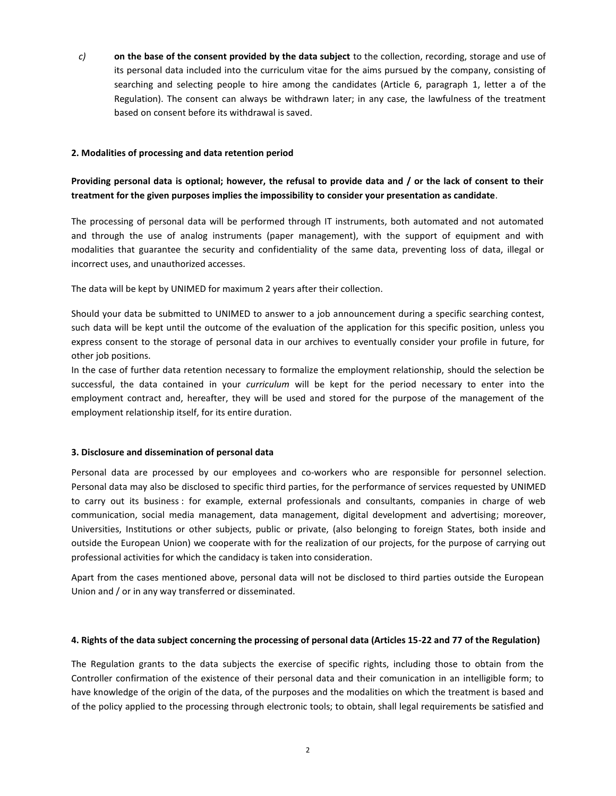*c)* **on the base of the consent provided by the data subject** to the collection, recording, storage and use of its personal data included into the curriculum vitae for the aims pursued by the company, consisting of searching and selecting people to hire among the candidates (Article 6, paragraph 1, letter a of the Regulation). The consent can always be withdrawn later; in any case, the lawfulness of the treatment based on consent before its withdrawal is saved.

#### **2. Modalities of processing and data retention period**

## **Providing personal data is optional; however, the refusal to provide data and / or the lack of consent to their treatment for the given purposes implies the impossibility to consider your presentation as candidate**.

The processing of personal data will be performed through IT instruments, both automated and not automated and through the use of analog instruments (paper management), with the support of equipment and with modalities that guarantee the security and confidentiality of the same data, preventing loss of data, illegal or incorrect uses, and unauthorized accesses.

The data will be kept by UNIMED for maximum 2 years after their collection.

Should your data be submitted to UNIMED to answer to a job announcement during a specific searching contest, such data will be kept until the outcome of the evaluation of the application for this specific position, unless you express consent to the storage of personal data in our archives to eventually consider your profile in future, for other job positions.

In the case of further data retention necessary to formalize the employment relationship, should the selection be successful, the data contained in your *curriculum* will be kept for the period necessary to enter into the employment contract and, hereafter, they will be used and stored for the purpose of the management of the employment relationship itself, for its entire duration.

#### **3. Disclosure and dissemination of personal data**

Personal data are processed by our employees and co-workers who are responsible for personnel selection. Personal data may also be disclosed to specific third parties, for the performance of services requested by UNIMED to carry out its business : for example, external professionals and consultants, companies in charge of web communication, social media management, data management, digital development and advertising; moreover, Universities, Institutions or other subjects, public or private, (also belonging to foreign States, both inside and outside the European Union) we cooperate with for the realization of our projects, for the purpose of carrying out professional activities for which the candidacy is taken into consideration.

Apart from the cases mentioned above, personal data will not be disclosed to third parties outside the European Union and / or in any way transferred or disseminated.

#### **4. Rights of the data subject concerning the processing of personal data (Articles 15-22 and 77 of the Regulation)**

The Regulation grants to the data subjects the exercise of specific rights, including those to obtain from the Controller confirmation of the existence of their personal data and their comunication in an intelligible form; to have knowledge of the origin of the data, of the purposes and the modalities on which the treatment is based and of the policy applied to the processing through electronic tools; to obtain, shall legal requirements be satisfied and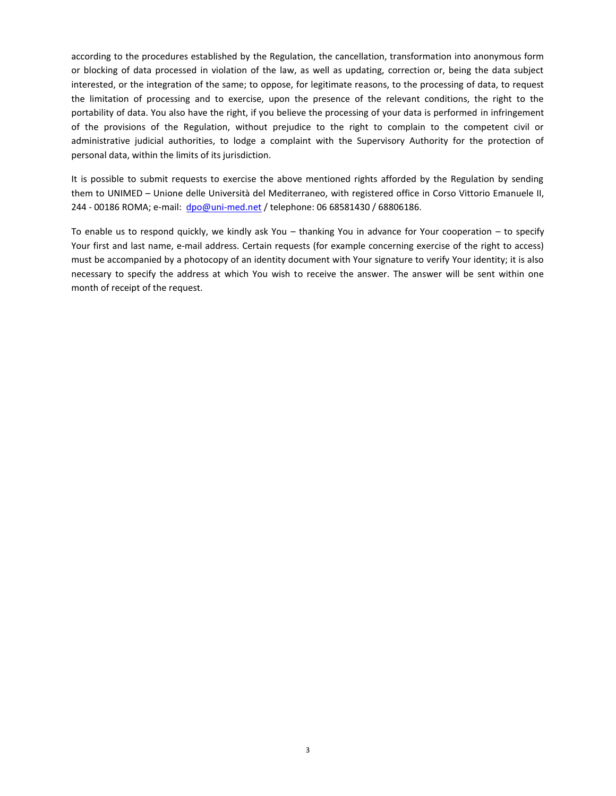according to the procedures established by the Regulation, the cancellation, transformation into anonymous form or blocking of data processed in violation of the law, as well as updating, correction or, being the data subject interested, or the integration of the same; to oppose, for legitimate reasons, to the processing of data, to request the limitation of processing and to exercise, upon the presence of the relevant conditions, the right to the portability of data. You also have the right, if you believe the processing of your data is performed in infringement of the provisions of the Regulation, without prejudice to the right to complain to the competent civil or administrative judicial authorities, to lodge a complaint with the Supervisory Authority for the protection of personal data, within the limits of its jurisdiction.

It is possible to submit requests to exercise the above mentioned rights afforded by the Regulation by sending them to UNIMED – Unione delle Università del Mediterraneo, with registered office in Corso Vittorio Emanuele II, 244 - 00186 ROMA; e-mail: [dpo@uni-med.net](mailto:dpo@uni-med.net) / telephone: 06 68581430 / 68806186.

To enable us to respond quickly, we kindly ask You – thanking You in advance for Your cooperation – to specify Your first and last name, e-mail address. Certain requests (for example concerning exercise of the right to access) must be accompanied by a photocopy of an identity document with Your signature to verify Your identity; it is also necessary to specify the address at which You wish to receive the answer. The answer will be sent within one month of receipt of the request.